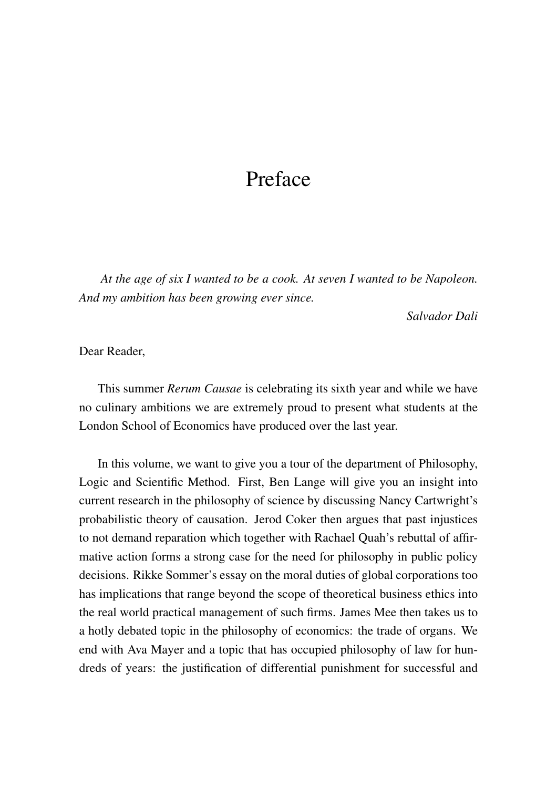## Preface

*At the age of six I wanted to be a cook. At seven I wanted to be Napoleon. And my ambition has been growing ever since.*

*Salvador Dali*

Dear Reader,

This summer *Rerum Causae* is celebrating its sixth year and while we have no culinary ambitions we are extremely proud to present what students at the London School of Economics have produced over the last year.

In this volume, we want to give you a tour of the department of Philosophy, Logic and Scientific Method. First, Ben Lange will give you an insight into current research in the philosophy of science by discussing Nancy Cartwright's probabilistic theory of causation. Jerod Coker then argues that past injustices to not demand reparation which together with Rachael Quah's rebuttal of affirmative action forms a strong case for the need for philosophy in public policy decisions. Rikke Sommer's essay on the moral duties of global corporations too has implications that range beyond the scope of theoretical business ethics into the real world practical management of such firms. James Mee then takes us to a hotly debated topic in the philosophy of economics: the trade of organs. We end with Ava Mayer and a topic that has occupied philosophy of law for hundreds of years: the justification of differential punishment for successful and